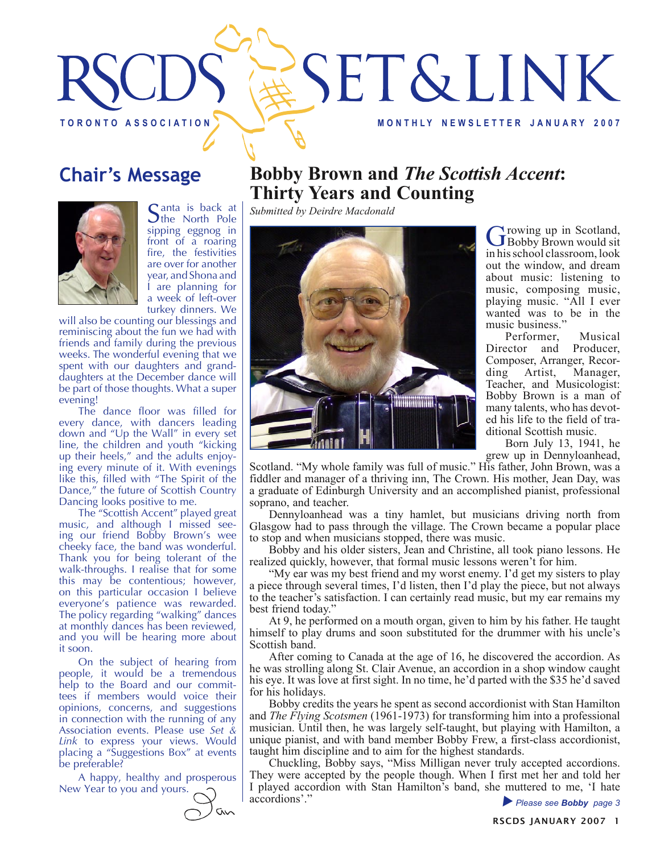

## **Chair's Message**



Santa is back at Sthe North Pole sipping eggnog in front of a roaring fire, the festivities are over for another year, and Shona and I are planning for a week of left-over turkey dinners. We

will also be counting our blessings and reminiscing about the fun we had with friends and family during the previous weeks. The wonderful evening that we spent with our daughters and granddaughters at the December dance will be part of those thoughts. What a super evening!

The dance floor was filled for every dance, with dancers leading down and "Up the Wall" in every set line, the children and youth "kicking up their heels," and the adults enjoying every minute of it. With evenings like this, filled with "The Spirit of the Dance," the future of Scottish Country Dancing looks positive to me.

The "Scottish Accent" played great music, and although I missed seeing our friend Bobby Brown's wee cheeky face, the band was wonderful. Thank you for being tolerant of the walk-throughs. I realise that for some this may be contentious; however, on this particular occasion I believe everyone's patience was rewarded. The policy regarding "walking" dances at monthly dances has been reviewed, and you will be hearing more about it soon.

On the subject of hearing from people, it would be a tremendous help to the Board and our committees if members would voice their opinions, concerns, and suggestions in connection with the running of any Association events. Please use *Set & Link* to express your views. Would placing a "Suggestions Box" at events be preferable?

A happy, healthy and prosperous New Year to you and yours.



### **Bobby Brown and** *The Scottish Accent***: Thirty Years and Counting**

*Submitted by Deirdre Macdonald*



Growing up in Scotland,<br>
GBobby Brown would sit in his school classroom, look out the window, and dream about music: listening to music, composing music, playing music. "All I ever wanted was to be in the music business."

Performer, Musical Director and Producer, Composer, Arranger, Recording Artist, Manager, Teacher, and Musicologist: Bobby Brown is a man of many talents, who has devoted his life to the field of traditional Scottish music.

Born July 13, 1941, he grew up in Dennyloanhead,

Scotland. "My whole family was full of music." His father, John Brown, was a fiddler and manager of a thriving inn, The Crown. His mother, Jean Day, was a graduate of Edinburgh University and an accomplished pianist, professional soprano, and teacher.

Dennyloanhead was a tiny hamlet, but musicians driving north from Glasgow had to pass through the village. The Crown became a popular place to stop and when musicians stopped, there was music.

Bobby and his older sisters, Jean and Christine, all took piano lessons. He realized quickly, however, that formal music lessons weren't for him.

"My ear was my best friend and my worst enemy. I'd get my sisters to play a piece through several times, I'd listen, then I'd play the piece, but not always to the teacher's satisfaction. I can certainly read music, but my ear remains my best friend today."

At 9, he performed on a mouth organ, given to him by his father. He taught himself to play drums and soon substituted for the drummer with his uncle's Scottish band.

After coming to Canada at the age of 16, he discovered the accordion. As he was strolling along St. Clair Avenue, an accordion in a shop window caught his eye. It was love at first sight. In no time, he'd parted with the \$35 he'd saved for his holidays.

Bobby credits the years he spent as second accordionist with Stan Hamilton and *The Flying Scotsmen* (1961-1973) for transforming him into a professional musician. Until then, he was largely self-taught, but playing with Hamilton, a unique pianist, and with band member Bobby Frew, a first-class accordionist, taught him discipline and to aim for the highest standards.

Chuckling, Bobby says, "Miss Milligan never truly accepted accordions. They were accepted by the people though. When I first met her and told her I played accordion with Stan Hamilton's band, she muttered to me, 'I hate accordions'."

Please see **Bobby** page 3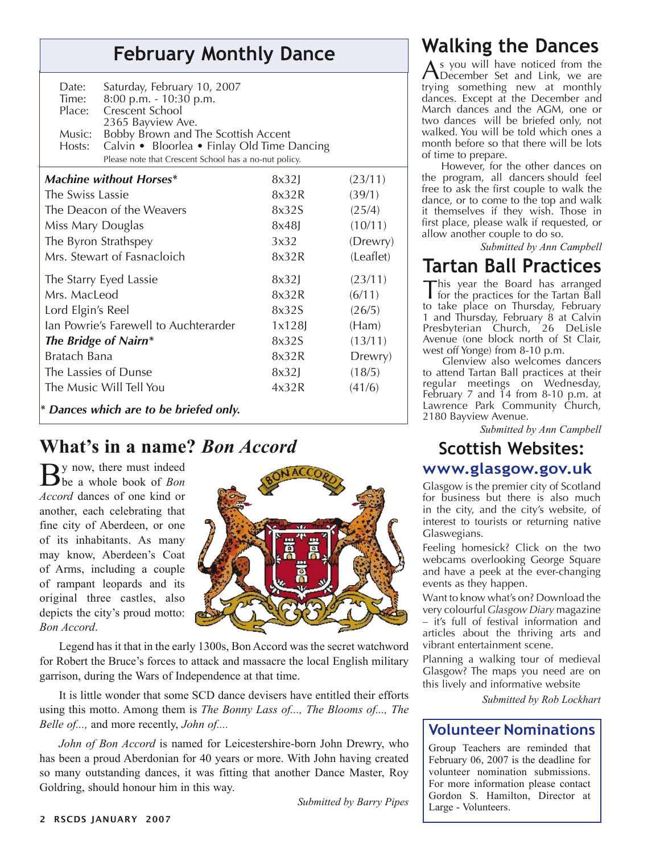## **February Monthly Dance**

| Date:<br>Time:<br>Place:<br>Music:<br>Hosts: | Saturday, February 10, 2007<br>8:00 p.m. - 10:30 p.m.<br>Crescent School<br>2365 Bayview Ave.<br>Bobby Brown and The Scottish Accent<br>Calvin • Bloorlea • Finlay Old Time Dancing<br>Please note that Crescent School has a no-nut policy. |       |           |
|----------------------------------------------|----------------------------------------------------------------------------------------------------------------------------------------------------------------------------------------------------------------------------------------------|-------|-----------|
|                                              | <b>Machine without Horses*</b>                                                                                                                                                                                                               | 8x32  | (23/11)   |
| The Swiss Lassie                             |                                                                                                                                                                                                                                              | 8x32R | (39/1)    |
| The Deacon of the Weavers                    |                                                                                                                                                                                                                                              | 8x32S | (25/4)    |
| Miss Mary Douglas                            |                                                                                                                                                                                                                                              | 8x48  | (10/11)   |
| The Byron Strathspey                         |                                                                                                                                                                                                                                              | 3x32  | (Drewry)  |
| Mrs. Stewart of Fasnacloich                  |                                                                                                                                                                                                                                              | 8x32R | (Leaflet) |
| The Starry Eyed Lassie                       |                                                                                                                                                                                                                                              | 8x32  | (23/11)   |
| Mrs. MacLeod                                 |                                                                                                                                                                                                                                              | 8x32R | (6/11)    |
| Lord Elgin's Reel                            |                                                                                                                                                                                                                                              | 8x32S | (26/5)    |
| Ian Powrie's Farewell to Auchterarder        |                                                                                                                                                                                                                                              | 1x128 | (Ham)     |
| The Bridge of Nairn*                         |                                                                                                                                                                                                                                              | 8x32S | (13/11)   |
| <b>Bratach Bana</b>                          |                                                                                                                                                                                                                                              | 8x32R | Drewry)   |
| The Lassies of Dunse                         |                                                                                                                                                                                                                                              | 8x32  | (18/5)    |
| The Music Will Tell You                      |                                                                                                                                                                                                                                              | 4x32R | (41/6)    |
|                                              | * Dances which are to be briefed only.                                                                                                                                                                                                       |       |           |

### **What's in a name?** *Bon Accord*

By now, there must indeed be a whole book of *Bon Accord* dances of one kind or another, each celebrating that fine city of Aberdeen, or one of its inhabitants. As many may know, Aberdeen's Coat of Arms, including a couple of rampant leopards and its original three castles, also depicts the city's proud motto: *Bon Accord*.



Legend has it that in the early 1300s, Bon Accord was the secret watchword for Robert the Bruce's forces to attack and massacre the local English military garrison, during the Wars of Independence at that time.

It is little wonder that some SCD dance devisers have entitled their efforts using this motto. Among them is *The Bonny Lass of..., The Blooms of..., The Belle of...,* and more recently, *John of....*

*John of Bon Accord* is named for Leicestershire-born John Drewry, who has been a proud Aberdonian for 40 years or more. With John having created so many outstanding dances, it was fitting that another Dance Master, Roy Goldring, should honour him in this way.

*Submitted by Barry Pipes*

## **Walking the Dances**

As you will have noticed from the December Set and Link, we are trying something new at monthly dances. Except at the December and March dances and the AGM, one or two dances will be briefed only, not walked. You will be told which ones a month before so that there will be lots of time to prepare.

However, for the other dances on the program, all dancers should feel free to ask the first couple to walk the dance, or to come to the top and walk it themselves if they wish. Those in first place, please walk if requested, or allow another couple to do so.

*Submitted by Ann Campbell*

## **Tartan Ball Practices**

This year the Board has arranged<br>for the practices for the Tartan Ball to take place on Thursday, February 1 and Thursday, February 8 at Calvin Presbyterian Church, 26 DeLisle Avenue (one block north of St Clair, west off Yonge) from 8-10 p.m.

Glenview also welcomes dancers to attend Tartan Ball practices at their regular meetings on Wednesday, February 7 and 14 from 8-10 p.m. at Lawrence Park Community Church, 2180 Bayview Avenue.

*Submitted by Ann Campbell*

# **Scottish Websites:**

### **www.glasgow.gov.uk**

Glasgow is the premier city of Scotland for business but there is also much in the city, and the city's website, of interest to tourists or returning native Glaswegians.

Feeling homesick? Click on the two webcams overlooking George Square and have a peek at the ever-changing events as they happen.

Want to know what's on? Download the very colourful *Glasgow Diary* magazine – it's full of festival information and articles about the thriving arts and vibrant entertainment scene.

Planning a walking tour of medieval Glasgow? The maps you need are on this lively and informative website

*Submitted by Rob Lockhart*

### **Volunteer Nominations**

Group Teachers are reminded that February 06, 2007 is the deadline for volunteer nomination submissions. For more information please contact Gordon S. Hamilton, Director at Large - Volunteers.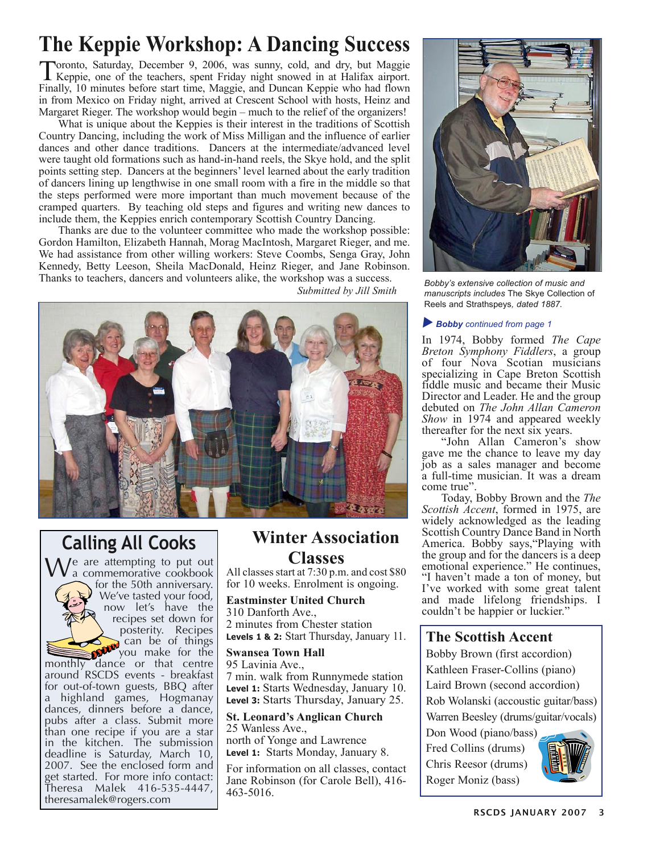# **The Keppie Workshop: A Dancing Success**

Toronto, Saturday, December 9, 2006, was sunny, cold, and dry, but Maggie Keppie, one of the teachers, spent Friday night snowed in at Halifax airport. Finally, 10 minutes before start time, Maggie, and Duncan Keppie who had flown in from Mexico on Friday night, arrived at Crescent School with hosts, Heinz and Margaret Rieger. The workshop would begin – much to the relief of the organizers!

What is unique about the Keppies is their interest in the traditions of Scottish Country Dancing, including the work of Miss Milligan and the influence of earlier dances and other dance traditions. Dancers at the intermediate/advanced level were taught old formations such as hand-in-hand reels, the Skye hold, and the split points setting step. Dancers at the beginners' level learned about the early tradition of dancers lining up lengthwise in one small room with a fire in the middle so that the steps performed were more important than much movement because of the cramped quarters. By teaching old steps and figures and writing new dances to include them, the Keppies enrich contemporary Scottish Country Dancing.

Thanks are due to the volunteer committee who made the workshop possible: Gordon Hamilton, Elizabeth Hannah, Morag MacIntosh, Margaret Rieger, and me. We had assistance from other willing workers: Steve Coombs, Senga Gray, John Kennedy, Betty Leeson, Sheila MacDonald, Heinz Rieger, and Jane Robinson. Thanks to teachers, dancers and volunteers alike, the workshop was a success.



# **Calling All Cooks**

e are attempting to put out a commemorative cookbook for the 50th anniversary. We've tasted your food, now let's have the recipes set down for posterity. Recipes can be of things you make for the monthly dance or that centre around RSCDS events - breakfast for out-of-town guests, BBQ after a highland games, Hogmanay dances, dinners before a dance, pubs after a class. Submit more than one recipe if you are a star in the kitchen. The submission deadline is Saturday, March 10,

2007. See the enclosed form and get started. For more info contact: Theresa Malek 416-535-4447,

theresamalek@rogers.com

**Winter Association Classes**

All classes start at 7:30 p.m. and cost \$80 for 10 weeks. Enrolment is ongoing.

**Eastminster United Church** 310 Danforth Ave., 2 minutes from Chester station **Levels 1 & 2:** Start Thursday, January 11.

**Swansea Town Hall** 95 Lavinia Ave., 7 min. walk from Runnymede station **Level 1:** Starts Wednesday, January 10. **Level 3:** Starts Thursday, January 25.

**St. Leonard's Anglican Church** 25 Wanless Ave., north of Yonge and Lawrence **Level 1:** Starts Monday, January 8.

For information on all classes, contact Jane Robinson (for Carole Bell), 416- 463-5016.



 *Submitted by Jill Smith Bobby's extensive collection of music and manuscripts includes* The Skye Collection of Reels and Strathspeys*, dated 1887.* 

#### **Bobby** continued from page 1

In 1974, Bobby formed *The Cape Breton Symphony Fiddlers*, a group of four Nova Scotian musicians specializing in Cape Breton Scottish fiddle music and became their Music Director and Leader. He and the group debuted on *The John Allan Cameron Show* in 1974 and appeared weekly thereafter for the next six years.

"John Allan Cameron's show gave me the chance to leave my day job as a sales manager and become a full-time musician. It was a dream come true".

Today, Bobby Brown and the *The Scottish Accent*, formed in 1975, are widely acknowledged as the leading Scottish Country Dance Band in North America. Bobby says,"Playing with the group and for the dancers is a deep emotional experience." He continues, "I haven't made a ton of money, but I've worked with some great talent and made lifelong friendships. I couldn't be happier or luckier."

#### **The Scottish Accent**

Bobby Brown (first accordion) Kathleen Fraser-Collins (piano) Laird Brown (second accordion) Rob Wolanski (accoustic guitar/bass) Warren Beesley (drums/guitar/vocals)

Don Wood (piano/bass) Fred Collins (drums) Chris Reesor (drums) Roger Moniz (bass)